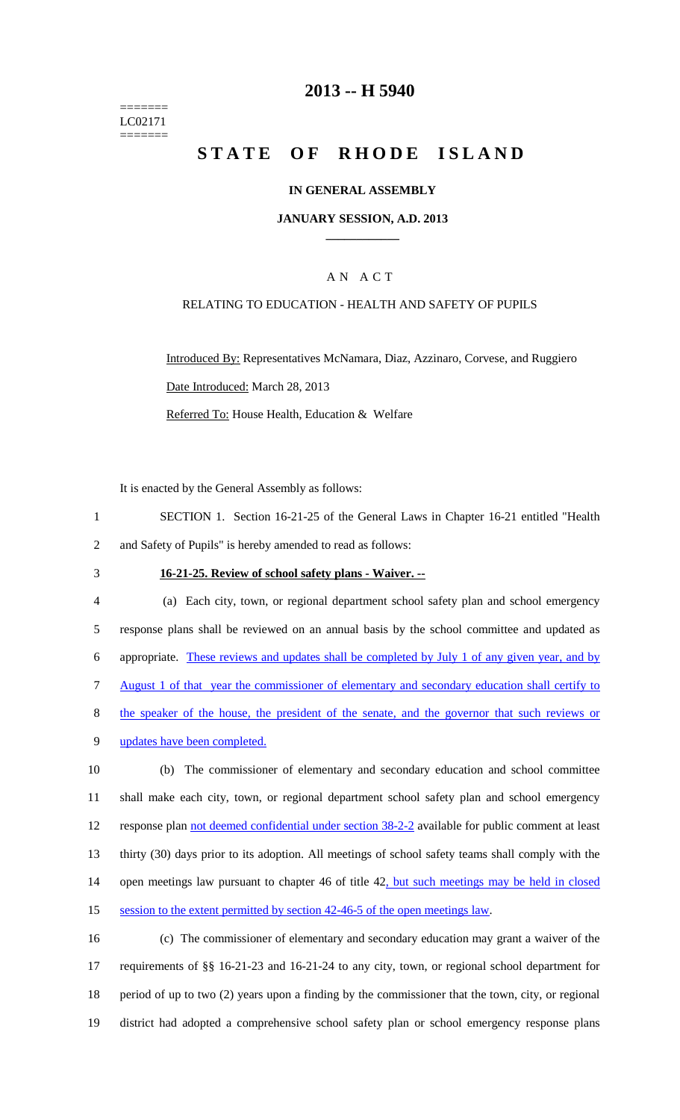======= LC02171 =======

### **2013 -- H 5940**

# **STATE OF RHODE ISLAND**

### **IN GENERAL ASSEMBLY**

### **JANUARY SESSION, A.D. 2013 \_\_\_\_\_\_\_\_\_\_\_\_**

### A N A C T

#### RELATING TO EDUCATION - HEALTH AND SAFETY OF PUPILS

Introduced By: Representatives McNamara, Diaz, Azzinaro, Corvese, and Ruggiero Date Introduced: March 28, 2013 Referred To: House Health, Education & Welfare

It is enacted by the General Assembly as follows:

1 SECTION 1. Section 16-21-25 of the General Laws in Chapter 16-21 entitled "Health 2 and Safety of Pupils" is hereby amended to read as follows:

### 3 **16-21-25. Review of school safety plans - Waiver. --**

| $\overline{4}$ | (a) Each city, town, or regional department school safety plan and school emergency              |
|----------------|--------------------------------------------------------------------------------------------------|
| 5              | response plans shall be reviewed on an annual basis by the school committee and updated as       |
| 6              | appropriate. These reviews and updates shall be completed by July 1 of any given year, and by    |
| 7              | August 1 of that year the commissioner of elementary and secondary education shall certify to    |
| 8              | the speaker of the house, the president of the senate, and the governor that such reviews or     |
| 9              | updates have been completed.                                                                     |
| 10             | (b) The commissioner of elementary and secondary education and school committee                  |
| 11             | shall make each city, town, or regional department school safety plan and school emergency       |
| 12             | response plan not deemed confidential under section 38-2-2 available for public comment at least |

13 thirty (30) days prior to its adoption. All meetings of school safety teams shall comply with the

14 open meetings law pursuant to chapter 46 of title 42, but such meetings may be held in closed

15 session to the extent permitted by section 42-46-5 of the open meetings law.

16 (c) The commissioner of elementary and secondary education may grant a waiver of the 17 requirements of §§ 16-21-23 and 16-21-24 to any city, town, or regional school department for 18 period of up to two (2) years upon a finding by the commissioner that the town, city, or regional 19 district had adopted a comprehensive school safety plan or school emergency response plans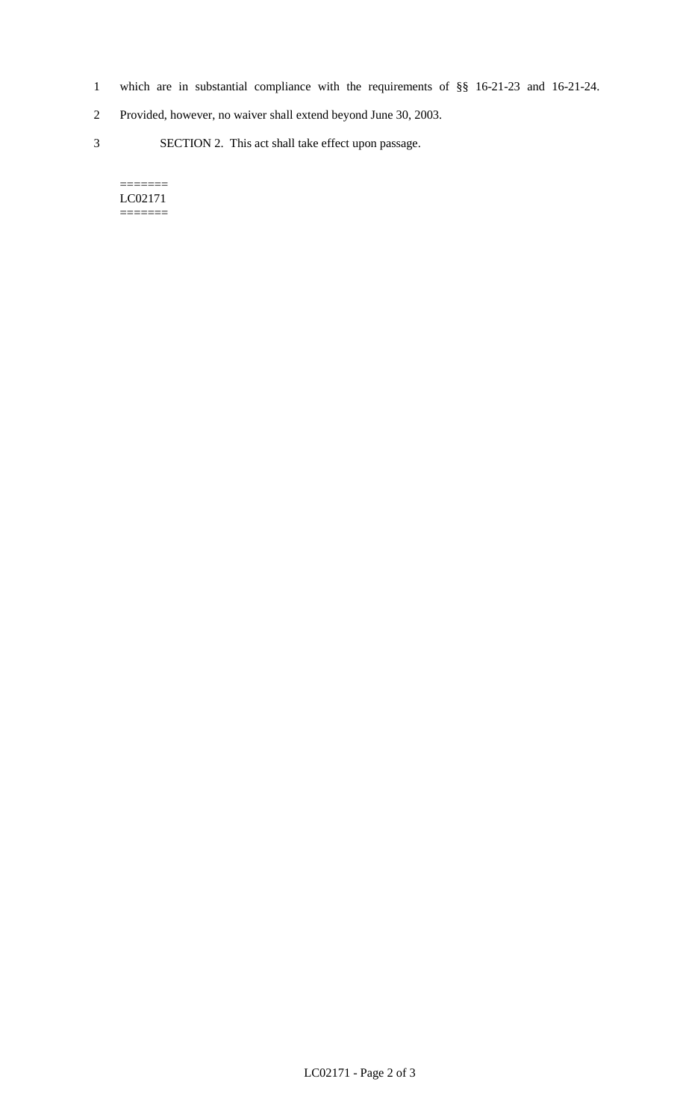- 1 which are in substantial compliance with the requirements of §§ 16-21-23 and 16-21-24.
- 2 Provided, however, no waiver shall extend beyond June 30, 2003.
- 3 SECTION 2. This act shall take effect upon passage.

#### $=$ LC02171 =======